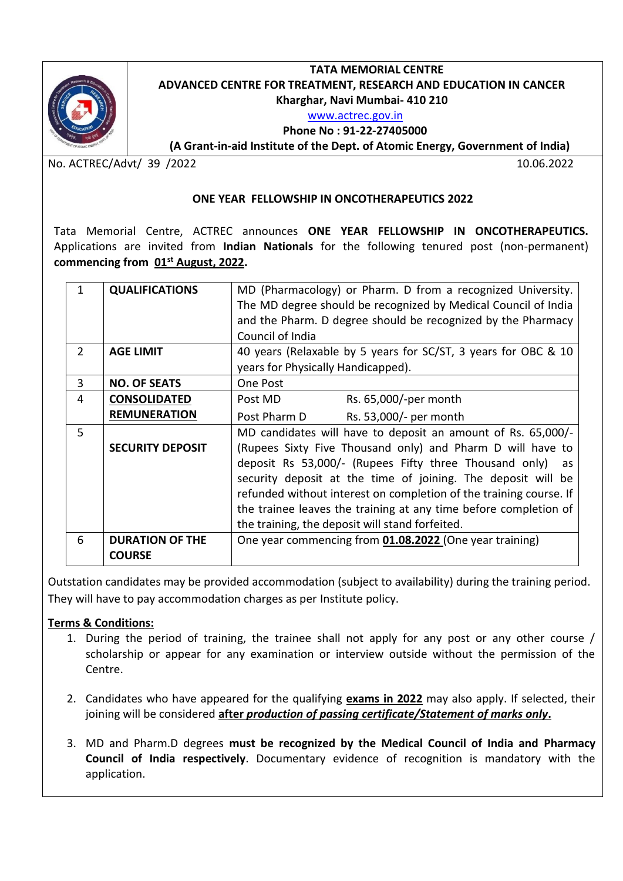

# **TATA MEMORIAL CENTRE ADVANCED CENTRE FOR TREATMENT, RESEARCH AND EDUCATION IN CANCER Kharghar, Navi Mumbai- 410 210**

## [www.actrec.gov.in](http://www.actrec.gov.in/)

 **Phone No : 91-22-27405000** 

**( (A Grant-in-aid Institute of the Dept. of Atomic Energy, Government of India)**

No. ACTREC/Advt/ 39 /2022 10.06.2022

#### **ONE YEAR FELLOWSHIP IN ONCOTHERAPEUTICS 2022**

Tata Memorial Centre, ACTREC announces **ONE YEAR FELLOWSHIP IN ONCOTHERAPEUTICS.**  Applications are invited from **Indian Nationals** for the following tenured post (non-permanent) **commencing from 01st August, 2022.** 

| 1             | <b>QUALIFICATIONS</b>   | MD (Pharmacology) or Pharm. D from a recognized University.        |
|---------------|-------------------------|--------------------------------------------------------------------|
|               |                         | The MD degree should be recognized by Medical Council of India     |
|               |                         | and the Pharm. D degree should be recognized by the Pharmacy       |
|               |                         | Council of India                                                   |
|               |                         |                                                                    |
| $\mathcal{P}$ | <b>AGE LIMIT</b>        | 40 years (Relaxable by 5 years for SC/ST, 3 years for OBC & 10     |
|               |                         | years for Physically Handicapped).                                 |
| 3             | <b>NO. OF SEATS</b>     | One Post                                                           |
| 4             | <b>CONSOLIDATED</b>     | Rs. 65,000/-per month<br>Post MD                                   |
|               | <b>REMUNERATION</b>     | Post Pharm D<br>Rs. 53,000/- per month                             |
| 5             |                         | MD candidates will have to deposit an amount of Rs. 65,000/-       |
|               | <b>SECURITY DEPOSIT</b> | (Rupees Sixty Five Thousand only) and Pharm D will have to         |
|               |                         | deposit Rs 53,000/- (Rupees Fifty three Thousand only)<br>as       |
|               |                         | security deposit at the time of joining. The deposit will be       |
|               |                         | refunded without interest on completion of the training course. If |
|               |                         |                                                                    |
|               |                         | the trainee leaves the training at any time before completion of   |
|               |                         | the training, the deposit will stand forfeited.                    |
| 6             | <b>DURATION OF THE</b>  | One year commencing from 01.08.2022 (One year training)            |
|               | <b>COURSE</b>           |                                                                    |
|               |                         |                                                                    |

Outstation candidates may be provided accommodation (subject to availability) during the training period. They will have to pay accommodation charges as per Institute policy.

### **Terms & Conditions:**

- 1. During the period of training, the trainee shall not apply for any post or any other course / scholarship or appear for any examination or interview outside without the permission of the Centre.
- 2. Candidates who have appeared for the qualifying **exams in 2022** may also apply. If selected, their joining will be considered **after** *production of passing certificate/Statement of marks only***.**
- 3. MD and Pharm.D degrees **must be recognized by the Medical Council of India and Pharmacy Council of India respectively**. Documentary evidence of recognition is mandatory with the application.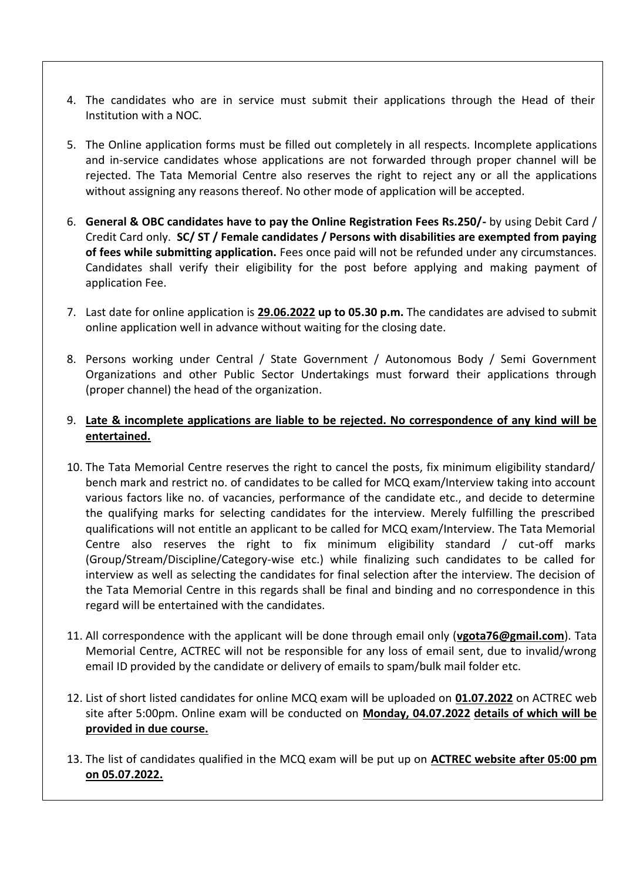- 4. The candidates who are in service must submit their applications through the Head of their Institution with a NOC.
- 5. The Online application forms must be filled out completely in all respects. Incomplete applications and in-service candidates whose applications are not forwarded through proper channel will be rejected. The Tata Memorial Centre also reserves the right to reject any or all the applications without assigning any reasons thereof. No other mode of application will be accepted.
- 6. **General & OBC candidates have to pay the Online Registration Fees Rs.250/-** by using Debit Card / Credit Card only. **SC/ ST / Female candidates / Persons with disabilities are exempted from paying of fees while submitting application.** Fees once paid will not be refunded under any circumstances. Candidates shall verify their eligibility for the post before applying and making payment of application Fee.
- 7. Last date for online application is **29.06.2022 up to 05.30 p.m.** The candidates are advised to submit online application well in advance without waiting for the closing date.
- 8. Persons working under Central / State Government / Autonomous Body / Semi Government Organizations and other Public Sector Undertakings must forward their applications through (proper channel) the head of the organization.

## 9. **Late & incomplete applications are liable to be rejected. No correspondence of any kind will be entertained.**

- 10. The Tata Memorial Centre reserves the right to cancel the posts, fix minimum eligibility standard/ bench mark and restrict no. of candidates to be called for MCQ exam/Interview taking into account various factors like no. of vacancies, performance of the candidate etc., and decide to determine the qualifying marks for selecting candidates for the interview. Merely fulfilling the prescribed qualifications will not entitle an applicant to be called for MCQ exam/Interview. The Tata Memorial Centre also reserves the right to fix minimum eligibility standard / cut-off marks (Group/Stream/Discipline/Category-wise etc.) while finalizing such candidates to be called for interview as well as selecting the candidates for final selection after the interview. The decision of the Tata Memorial Centre in this regards shall be final and binding and no correspondence in this regard will be entertained with the candidates.
- 11. All correspondence with the applicant will be done through email only (**vgota76@[gmail.com](mailto:mail@actrec.gov.in)**). Tata Memorial Centre, ACTREC will not be responsible for any loss of email sent, due to invalid/wrong email ID provided by the candidate or delivery of emails to spam/bulk mail folder etc.
- 12. List of short listed candidates for online MCQ exam will be uploaded on **01.07.2022** on ACTREC web site after 5:00pm. Online exam will be conducted on **Monday, 04.07.2022 details of which will be provided in due course.**
- 13. The list of candidates qualified in the MCQ exam will be put up on **ACTREC website after 05:00 pm on 05.07.2022.**